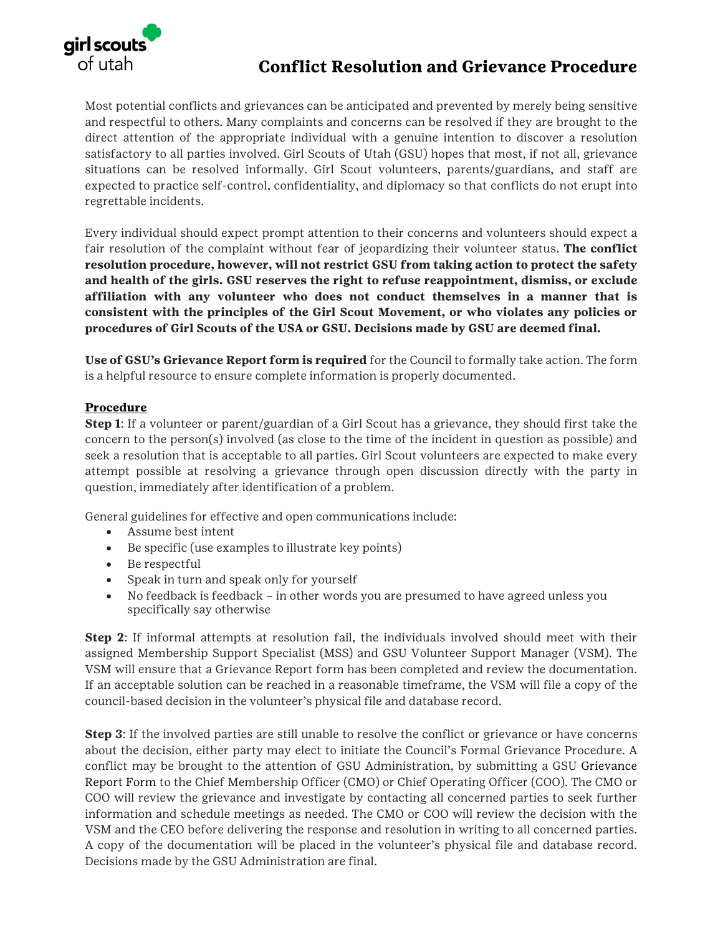

## **Conflict Resolution and Grievance Procedure**

Most potential conflicts and grievances can be anticipated and prevented by merely being sensitive and respectful to others. Many complaints and concerns can be resolved if they are brought to the direct attention of the appropriate individual with a genuine intention to discover a resolution satisfactory to all parties involved. Girl Scouts of Utah (GSU) hopes that most, if not all, grievance situations can be resolved informally. Girl Scout volunteers, parents/guardians, and staff are expected to practice self-control, confidentiality, and diplomacy so that conflicts do not erupt into regrettable incidents.

Every individual should expect prompt attention to their concerns and volunteers should expect a fair resolution of the complaint without fear of jeopardizing their volunteer status. **The conflict resolution procedure, however, will not restrict GSU from taking action to protect the safety and health of the girls. GSU reserves the right to refuse reappointment, dismiss, or exclude affiliation with any volunteer who does not conduct themselves in a manner that is consistent with the principles of the Girl Scout Movement, or who violates any policies or procedures of Girl Scouts of the USA or GSU. Decisions made by GSU are deemed final.** 

**Use of GSU's Grievance Report form is required** for the Council to formally take action. The form is a helpful resource to ensure complete information is properly documented.

## **Procedure**

**Step 1**: If a volunteer or parent/guardian of a Girl Scout has a grievance, they should first take the concern to the person(s) involved (as close to the time of the incident in question as possible) and seek a resolution that is acceptable to all parties. Girl Scout volunteers are expected to make every attempt possible at resolving a grievance through open discussion directly with the party in question, immediately after identification of a problem.

General guidelines for effective and open communications include:

- Assume best intent
- Be specific (use examples to illustrate key points)
- Be respectful
- Speak in turn and speak only for yourself
- No feedback is feedback in other words you are presumed to have agreed unless you specifically say otherwise

**Step 2**: If informal attempts at resolution fail, the individuals involved should meet with their assigned Membership Support Specialist (MSS) and GSU Volunteer Support Manager (VSM). The VSM will ensure that a Grievance Report form has been completed and review the documentation. If an acceptable solution can be reached in a reasonable timeframe, the VSM will file a copy of the council-based decision in the volunteer's physical file and database record.

**Step 3:** If the involved parties are still unable to resolve the conflict or grievance or have concerns about the decision, either party may elect to initiate the Council's Formal Grievance Procedure. A conflict may be brought to the attention of GSU Administration, by submitting a GSU Grievance Report Form to the Chief Membership Officer (CMO) or Chief Operating Officer (COO). The CMO or COO will review the grievance and investigate by contacting all concerned parties to seek further information and schedule meetings as needed. The CMO or COO will review the decision with the VSM and the CEO before delivering the response and resolution in writing to all concerned parties. A copy of the documentation will be placed in the volunteer's physical file and database record. Decisions made by the GSU Administration are final.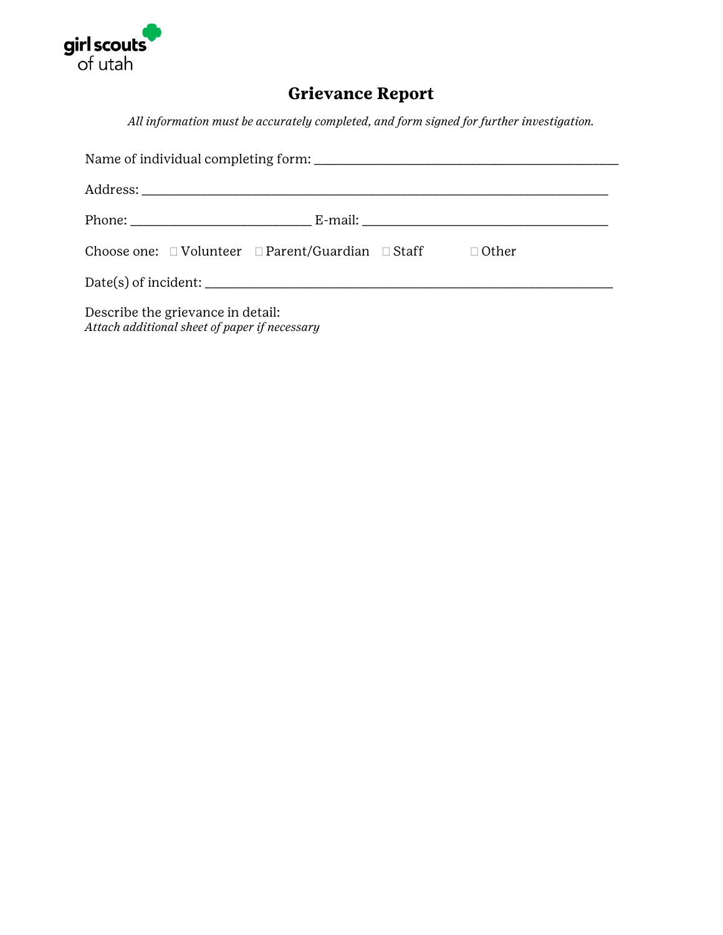

## **Grievance Report**

*All information must be accurately completed, and form signed for further investigation.*

|                                                                                    |  | Choose one: $\Box$ Volunteer $\Box$ Parent/Guardian $\Box$ Staff $\Box$ Other |  |  |  |
|------------------------------------------------------------------------------------|--|-------------------------------------------------------------------------------|--|--|--|
|                                                                                    |  |                                                                               |  |  |  |
| Describe the grievance in detail:<br>Attach additional sheet of paper if necessary |  |                                                                               |  |  |  |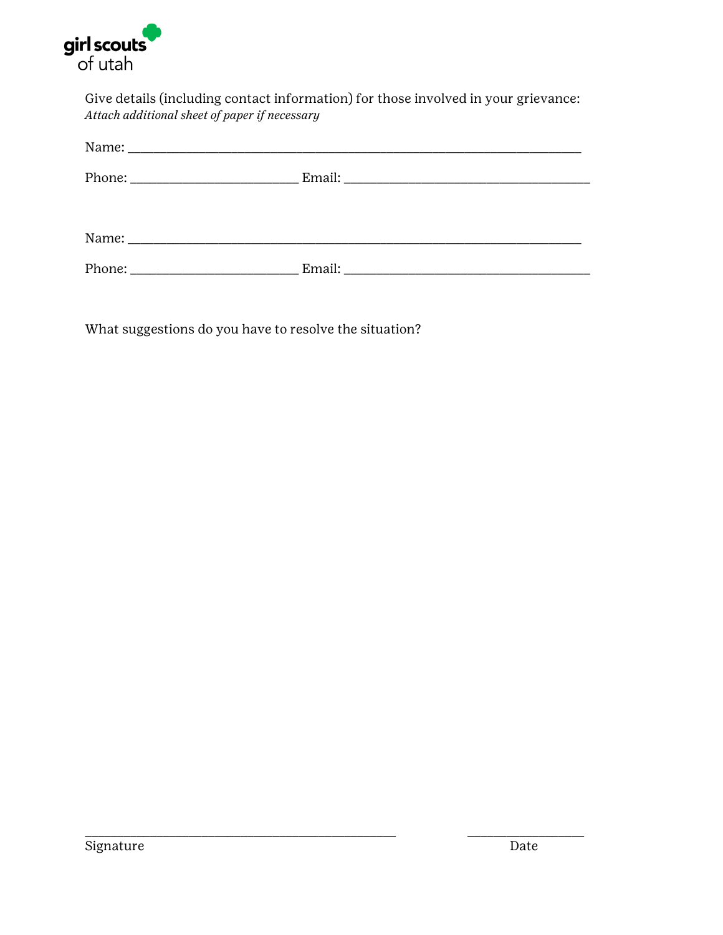

Give details (including contact information) for those involved in your grievance: *Attach additional sheet of paper if necessary* 

\_\_\_\_\_\_\_\_\_\_\_\_\_\_\_\_\_\_\_\_\_\_\_\_\_\_\_\_\_\_\_\_\_\_\_\_\_\_\_\_\_\_\_\_\_\_\_\_ \_\_\_\_\_\_\_\_\_\_\_\_\_\_\_\_\_\_

What suggestions do you have to resolve the situation?